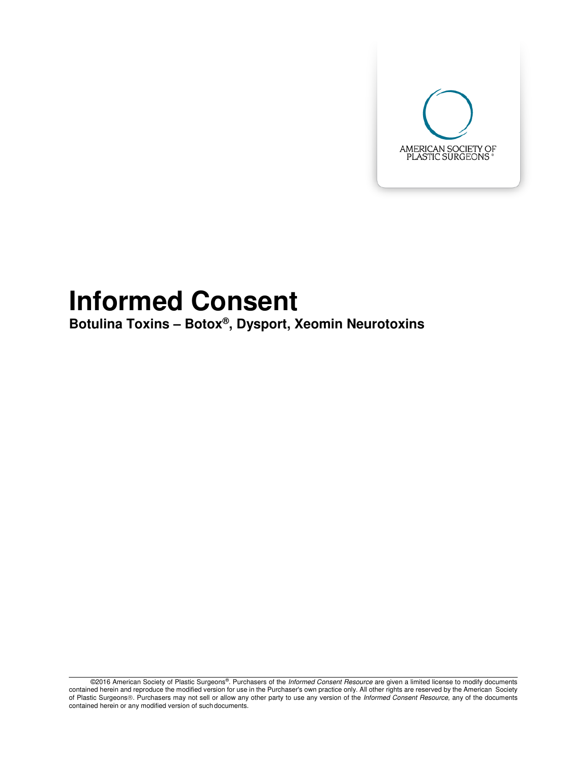

# **Informed Consent**

**Botulina Toxins – Botox® , Dysport, Xeomin Neurotoxins** 

©2016 American Society of Plastic Surgeons®. Purchasers of the *Informed Consent Resource* are given a limited license to modify documents contained herein and reproduce the modified version for use in the Purchaser's own practice only. All other rights are reserved by the American Society of Plastic Surgeons®. Purchasers may not sell or allow any other party to use any version of the *Informed Consent Resource*, any of the documents contained herein or any modified version of such documents.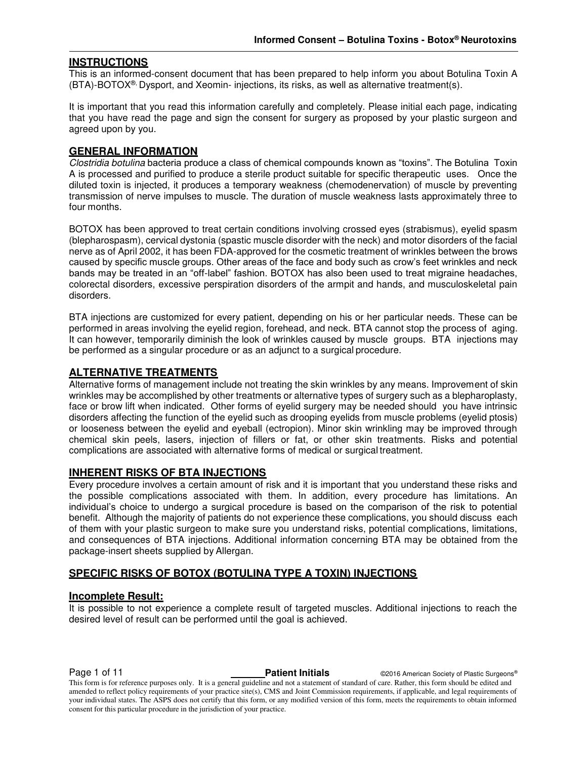#### **INSTRUCTIONS**

This is an informed-consent document that has been prepared to help inform you about Botulina Toxin A (BTA)-BOTOX®, Dysport, and Xeomin- injections, its risks, as well as alternative treatment(s).

It is important that you read this information carefully and completely. Please initial each page, indicating that you have read the page and sign the consent for surgery as proposed by your plastic surgeon and agreed upon by you.

#### **GENERAL INFORMATION**

Clostridia botulina bacteria produce a class of chemical compounds known as "toxins". The Botulina Toxin A is processed and purified to produce a sterile product suitable for specific therapeutic uses. Once the diluted toxin is injected, it produces a temporary weakness (chemodenervation) of muscle by preventing transmission of nerve impulses to muscle. The duration of muscle weakness lasts approximately three to four months.

BOTOX has been approved to treat certain conditions involving crossed eyes (strabismus), eyelid spasm (blepharospasm), cervical dystonia (spastic muscle disorder with the neck) and motor disorders of the facial nerve as of April 2002, it has been FDA-approved for the cosmetic treatment of wrinkles between the brows caused by specific muscle groups. Other areas of the face and body such as crow's feet wrinkles and neck bands may be treated in an "off-label" fashion. BOTOX has also been used to treat migraine headaches, colorectal disorders, excessive perspiration disorders of the armpit and hands, and musculoskeletal pain disorders.

BTA injections are customized for every patient, depending on his or her particular needs. These can be performed in areas involving the eyelid region, forehead, and neck. BTA cannot stop the process of aging. It can however, temporarily diminish the look of wrinkles caused by muscle groups. BTA injections may be performed as a singular procedure or as an adjunct to a surgical procedure.

#### **ALTERNATIVE TREATMENTS**

Alternative forms of management include not treating the skin wrinkles by any means. Improvement of skin wrinkles may be accomplished by other treatments or alternative types of surgery such as a blepharoplasty, face or brow lift when indicated. Other forms of eyelid surgery may be needed should you have intrinsic disorders affecting the function of the eyelid such as drooping eyelids from muscle problems (eyelid ptosis) or looseness between the eyelid and eyeball (ectropion). Minor skin wrinkling may be improved through chemical skin peels, lasers, injection of fillers or fat, or other skin treatments. Risks and potential complications are associated with alternative forms of medical or surgical treatment.

#### **INHERENT RISKS OF BTA INJECTIONS**

Every procedure involves a certain amount of risk and it is important that you understand these risks and the possible complications associated with them. In addition, every procedure has limitations. An individual's choice to undergo a surgical procedure is based on the comparison of the risk to potential benefit. Although the majority of patients do not experience these complications, you should discuss each of them with your plastic surgeon to make sure you understand risks, potential complications, limitations, and consequences of BTA injections. Additional information concerning BTA may be obtained from the package-insert sheets supplied by Allergan.

#### **SPECIFIC RISKS OF BOTOX (BOTULINA TYPE A TOXIN) INJECTIONS**

#### **Incomplete Result:**

It is possible to not experience a complete result of targeted muscles. Additional injections to reach the desired level of result can be performed until the goal is achieved.

**Page 1 of 11 Patient Initials CONFIDENT CONTEX CONTEX CONTEX AMERICAL PROPERTY OF PLASTIC SURGEONS®** 

This form is for reference purposes only. It is a general guideline and not a statement of standard of care. Rather, this form should be edited and amended to reflect policy requirements of your practice site(s), CMS and Joint Commission requirements, if applicable, and legal requirements of your individual states. The ASPS does not certify that this form, or any modified version of this form, meets the requirements to obtain informed consent for this particular procedure in the jurisdiction of your practice.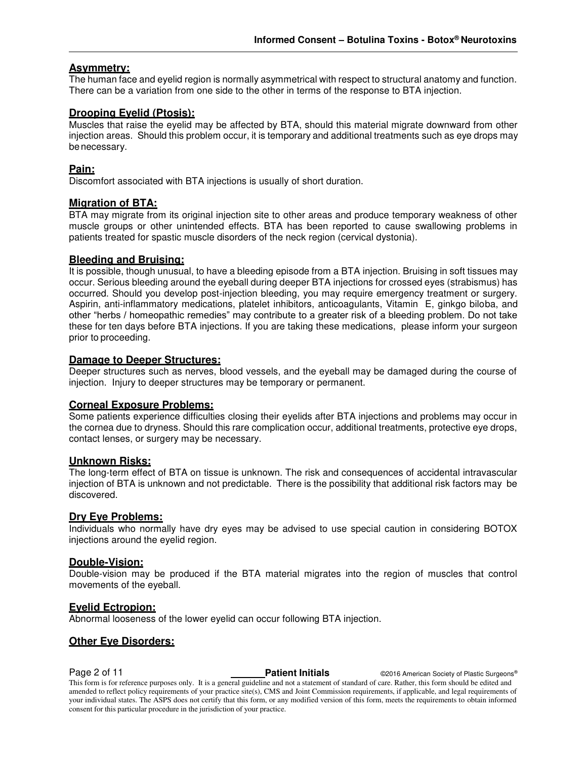### **Asymmetry:**

The human face and eyelid region is normally asymmetrical with respect to structural anatomy and function. There can be a variation from one side to the other in terms of the response to BTA injection.

#### **Drooping Eyelid (Ptosis):**

Muscles that raise the eyelid may be affected by BTA, should this material migrate downward from other injection areas. Should this problem occur, it is temporary and additional treatments such as eye drops may be necessary.

#### **Pain:**

Discomfort associated with BTA injections is usually of short duration.

#### **Migration of BTA:**

BTA may migrate from its original injection site to other areas and produce temporary weakness of other muscle groups or other unintended effects. BTA has been reported to cause swallowing problems in patients treated for spastic muscle disorders of the neck region (cervical dystonia).

#### **Bleeding and Bruising:**

It is possible, though unusual, to have a bleeding episode from a BTA injection. Bruising in soft tissues may occur. Serious bleeding around the eyeball during deeper BTA injections for crossed eyes (strabismus) has occurred. Should you develop post-injection bleeding, you may require emergency treatment or surgery. Aspirin, anti-inflammatory medications, platelet inhibitors, anticoagulants, Vitamin E, ginkgo biloba, and other "herbs / homeopathic remedies" may contribute to a greater risk of a bleeding problem. Do not take these for ten days before BTA injections. If you are taking these medications, please inform your surgeon prior to proceeding.

#### **Damage to Deeper Structures:**

Deeper structures such as nerves, blood vessels, and the eyeball may be damaged during the course of injection. Injury to deeper structures may be temporary or permanent.

#### **Corneal Exposure Problems:**

Some patients experience difficulties closing their eyelids after BTA injections and problems may occur in the cornea due to dryness. Should this rare complication occur, additional treatments, protective eye drops, contact lenses, or surgery may be necessary.

#### **Unknown Risks:**

The long-term effect of BTA on tissue is unknown. The risk and consequences of accidental intravascular injection of BTA is unknown and not predictable. There is the possibility that additional risk factors may be discovered.

#### **Dry Eye Problems:**

Individuals who normally have dry eyes may be advised to use special caution in considering BOTOX injections around the eyelid region.

#### **Double-Vision:**

Double-vision may be produced if the BTA material migrates into the region of muscles that control movements of the eyeball.

#### **Eyelid Ectropion:**

Abnormal looseness of the lower eyelid can occur following BTA injection.

#### **Other Eye Disorders:**

**Page 2 of 11 Patient Initials CONFIDENT CONFIDENT CONFIDENT Patient Initials CONFIDENT CONFIDENT CONFIDENT** This form is for reference purposes only. It is a general guideline and not a statement of standard of care. Rather, this form should be edited and amended to reflect policy requirements of your practice site(s), CMS and Joint Commission requirements, if applicable, and legal requirements of your individual states. The ASPS does not certify that this form, or any modified version of this form, meets the requirements to obtain informed consent for this particular procedure in the jurisdiction of your practice.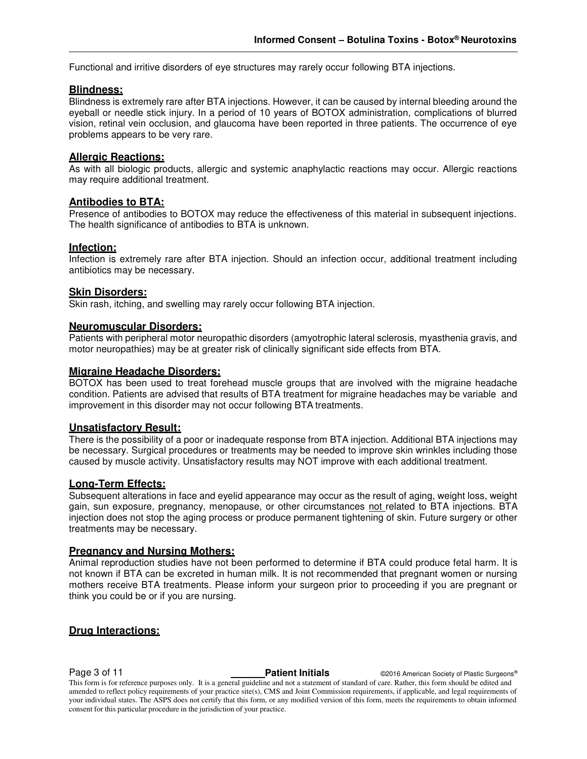Functional and irritive disorders of eye structures may rarely occur following BTA injections.

#### **Blindness:**

Blindness is extremely rare after BTA injections. However, it can be caused by internal bleeding around the eyeball or needle stick injury. In a period of 10 years of BOTOX administration, complications of blurred vision, retinal vein occlusion, and glaucoma have been reported in three patients. The occurrence of eye problems appears to be very rare.

#### **Allergic Reactions:**

As with all biologic products, allergic and systemic anaphylactic reactions may occur. Allergic reactions may require additional treatment.

#### **Antibodies to BTA:**

Presence of antibodies to BOTOX may reduce the effectiveness of this material in subsequent injections. The health significance of antibodies to BTA is unknown.

#### **Infection:**

Infection is extremely rare after BTA injection. Should an infection occur, additional treatment including antibiotics may be necessary.

#### **Skin Disorders:**

Skin rash, itching, and swelling may rarely occur following BTA injection.

#### **Neuromuscular Disorders:**

Patients with peripheral motor neuropathic disorders (amyotrophic lateral sclerosis, myasthenia gravis, and motor neuropathies) may be at greater risk of clinically significant side effects from BTA.

#### **Migraine Headache Disorders:**

BOTOX has been used to treat forehead muscle groups that are involved with the migraine headache condition. Patients are advised that results of BTA treatment for migraine headaches may be variable and improvement in this disorder may not occur following BTA treatments.

#### **Unsatisfactory Result:**

There is the possibility of a poor or inadequate response from BTA injection. Additional BTA injections may be necessary. Surgical procedures or treatments may be needed to improve skin wrinkles including those caused by muscle activity. Unsatisfactory results may NOT improve with each additional treatment.

#### **Long-Term Effects:**

Subsequent alterations in face and eyelid appearance may occur as the result of aging, weight loss, weight gain, sun exposure, pregnancy, menopause, or other circumstances not related to BTA injections. BTA injection does not stop the aging process or produce permanent tightening of skin. Future surgery or other treatments may be necessary.

#### **Pregnancy and Nursing Mothers:**

Animal reproduction studies have not been performed to determine if BTA could produce fetal harm. It is not known if BTA can be excreted in human milk. It is not recommended that pregnant women or nursing mothers receive BTA treatments. Please inform your surgeon prior to proceeding if you are pregnant or think you could be or if you are nursing.

#### **Drug Interactions:**

**Page 3 of 11 Patient Initials CONFIDENT CONFIDENT CONFIDENT CONFIDENT CONFIDENT Pastic Surgeons®** 

This form is for reference purposes only. It is a general guideline and not a statement of standard of care. Rather, this form should be edited and amended to reflect policy requirements of your practice site(s), CMS and Joint Commission requirements, if applicable, and legal requirements of your individual states. The ASPS does not certify that this form, or any modified version of this form, meets the requirements to obtain informed consent for this particular procedure in the jurisdiction of your practice.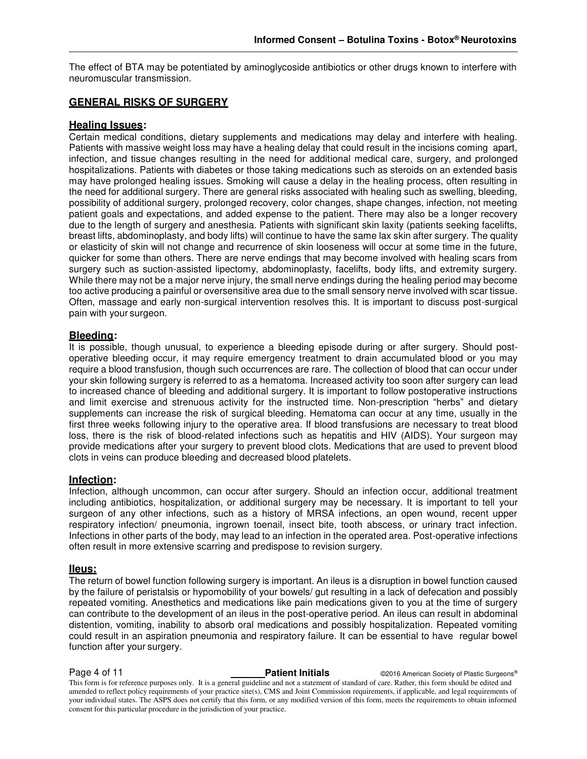The effect of BTA may be potentiated by aminoglycoside antibiotics or other drugs known to interfere with neuromuscular transmission.

#### **GENERAL RISKS OF SURGERY**

#### **Healing Issues:**

Certain medical conditions, dietary supplements and medications may delay and interfere with healing. Patients with massive weight loss may have a healing delay that could result in the incisions coming apart, infection, and tissue changes resulting in the need for additional medical care, surgery, and prolonged hospitalizations. Patients with diabetes or those taking medications such as steroids on an extended basis may have prolonged healing issues. Smoking will cause a delay in the healing process, often resulting in the need for additional surgery. There are general risks associated with healing such as swelling, bleeding, possibility of additional surgery, prolonged recovery, color changes, shape changes, infection, not meeting patient goals and expectations, and added expense to the patient. There may also be a longer recovery due to the length of surgery and anesthesia. Patients with significant skin laxity (patients seeking facelifts, breast lifts, abdominoplasty, and body lifts) will continue to have the same lax skin after surgery. The quality or elasticity of skin will not change and recurrence of skin looseness will occur at some time in the future, quicker for some than others. There are nerve endings that may become involved with healing scars from surgery such as suction-assisted lipectomy, abdominoplasty, facelifts, body lifts, and extremity surgery. While there may not be a major nerve injury, the small nerve endings during the healing period may become too active producing a painful or oversensitive area due to the small sensory nerve involved with scar tissue. Often, massage and early non-surgical intervention resolves this. It is important to discuss post-surgical pain with your surgeon.

#### **Bleeding:**

It is possible, though unusual, to experience a bleeding episode during or after surgery. Should postoperative bleeding occur, it may require emergency treatment to drain accumulated blood or you may require a blood transfusion, though such occurrences are rare. The collection of blood that can occur under your skin following surgery is referred to as a hematoma. Increased activity too soon after surgery can lead to increased chance of bleeding and additional surgery. It is important to follow postoperative instructions and limit exercise and strenuous activity for the instructed time. Non-prescription "herbs" and dietary supplements can increase the risk of surgical bleeding. Hematoma can occur at any time, usually in the first three weeks following injury to the operative area. If blood transfusions are necessary to treat blood loss, there is the risk of blood-related infections such as hepatitis and HIV (AIDS). Your surgeon may provide medications after your surgery to prevent blood clots. Medications that are used to prevent blood clots in veins can produce bleeding and decreased blood platelets.

#### **Infection:**

Infection, although uncommon, can occur after surgery. Should an infection occur, additional treatment including antibiotics, hospitalization, or additional surgery may be necessary. It is important to tell your surgeon of any other infections, such as a history of MRSA infections, an open wound, recent upper respiratory infection/ pneumonia, ingrown toenail, insect bite, tooth abscess, or urinary tract infection. Infections in other parts of the body, may lead to an infection in the operated area. Post-operative infections often result in more extensive scarring and predispose to revision surgery.

#### **IIeus:**

The return of bowel function following surgery is important. An ileus is a disruption in bowel function caused by the failure of peristalsis or hypomobility of your bowels/ gut resulting in a lack of defecation and possibly repeated vomiting. Anesthetics and medications like pain medications given to you at the time of surgery can contribute to the development of an ileus in the post-operative period. An ileus can result in abdominal distention, vomiting, inability to absorb oral medications and possibly hospitalization. Repeated vomiting could result in an aspiration pneumonia and respiratory failure. It can be essential to have regular bowel function after your surgery.

**Page 4 of 11 Patient Initials CONFIDENT CONFIDENT CONFIDENT CONFIDENT** CONFIDENT CONFIDENT CONFIDENT CONFIDENT CONFIDENT CONFIDENT CONFIDENT CONFIDENT CONFIDENT CONFIDENT CONFIDENT CONFIDENTIAL CONFIDENT CONFIDENTIAL This form is for reference purposes only. It is a general guideline and not a statement of standard of care. Rather, this form should be edited and amended to reflect policy requirements of your practice site(s), CMS and Joint Commission requirements, if applicable, and legal requirements of your individual states. The ASPS does not certify that this form, or any modified version of this form, meets the requirements to obtain informed consent for this particular procedure in the jurisdiction of your practice.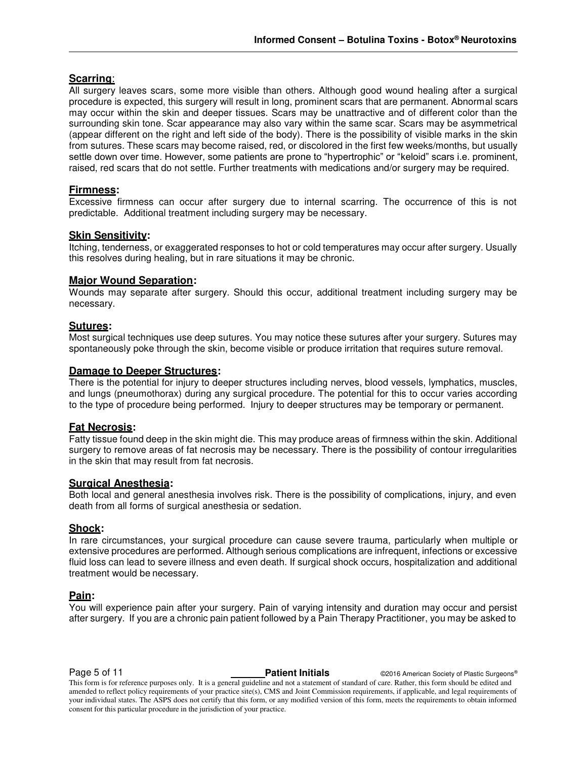### **Scarring**:

All surgery leaves scars, some more visible than others. Although good wound healing after a surgical procedure is expected, this surgery will result in long, prominent scars that are permanent. Abnormal scars may occur within the skin and deeper tissues. Scars may be unattractive and of different color than the surrounding skin tone. Scar appearance may also vary within the same scar. Scars may be asymmetrical (appear different on the right and left side of the body). There is the possibility of visible marks in the skin from sutures. These scars may become raised, red, or discolored in the first few weeks/months, but usually settle down over time. However, some patients are prone to "hypertrophic" or "keloid" scars i.e. prominent, raised, red scars that do not settle. Further treatments with medications and/or surgery may be required.

#### **Firmness:**

Excessive firmness can occur after surgery due to internal scarring. The occurrence of this is not predictable. Additional treatment including surgery may be necessary.

#### **Skin Sensitivity:**

Itching, tenderness, or exaggerated responses to hot or cold temperatures may occur after surgery. Usually this resolves during healing, but in rare situations it may be chronic.

#### **Major Wound Separation:**

Wounds may separate after surgery. Should this occur, additional treatment including surgery may be necessary.

#### **Sutures:**

Most surgical techniques use deep sutures. You may notice these sutures after your surgery. Sutures may spontaneously poke through the skin, become visible or produce irritation that requires suture removal.

#### **Damage to Deeper Structures:**

There is the potential for injury to deeper structures including nerves, blood vessels, lymphatics, muscles, and lungs (pneumothorax) during any surgical procedure. The potential for this to occur varies according to the type of procedure being performed. Injury to deeper structures may be temporary or permanent.

#### **Fat Necrosis:**

Fatty tissue found deep in the skin might die. This may produce areas of firmness within the skin. Additional surgery to remove areas of fat necrosis may be necessary. There is the possibility of contour irregularities in the skin that may result from fat necrosis.

#### **Surgical Anesthesia:**

Both local and general anesthesia involves risk. There is the possibility of complications, injury, and even death from all forms of surgical anesthesia or sedation.

#### **Shock:**

In rare circumstances, your surgical procedure can cause severe trauma, particularly when multiple or extensive procedures are performed. Although serious complications are infrequent, infections or excessive fluid loss can lead to severe illness and even death. If surgical shock occurs, hospitalization and additional treatment would be necessary.

#### **Pain:**

You will experience pain after your surgery. Pain of varying intensity and duration may occur and persist after surgery. If you are a chronic pain patient followed by a Pain Therapy Practitioner, you may be asked to

**Page 5 of 11 Patient Initials CONFIDENT CONFIDENT CONFIDENT CONFIDENT** CONFIDENT CONFIDENT CONFIDENT CONFIDENT CONFIDENT CONFIDENT CONFIDENT CONFIDENT CONFIDENT CONFIDENT CONFIDENT CONFIDENTIAL CONFIDENT CONFIDENTIAL

This form is for reference purposes only. It is a general guideline and not a statement of standard of care. Rather, this form should be edited and amended to reflect policy requirements of your practice site(s), CMS and Joint Commission requirements, if applicable, and legal requirements of your individual states. The ASPS does not certify that this form, or any modified version of this form, meets the requirements to obtain informed consent for this particular procedure in the jurisdiction of your practice.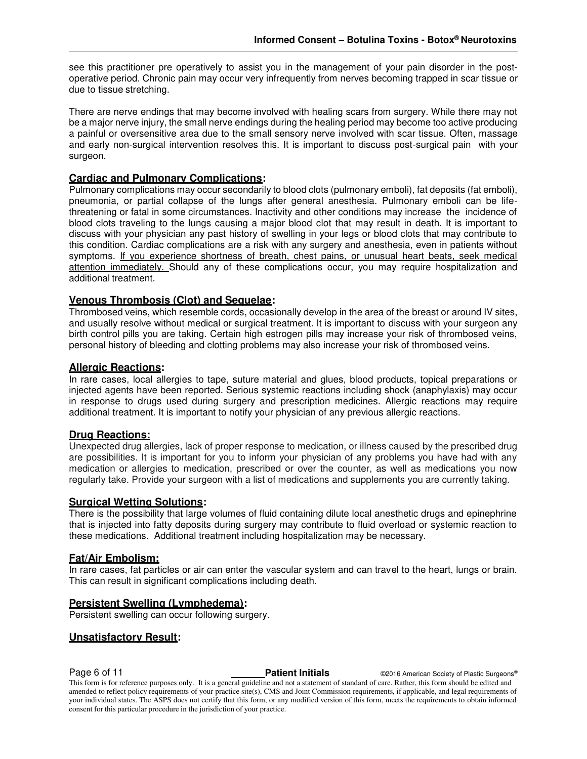see this practitioner pre operatively to assist you in the management of your pain disorder in the postoperative period. Chronic pain may occur very infrequently from nerves becoming trapped in scar tissue or due to tissue stretching.

There are nerve endings that may become involved with healing scars from surgery. While there may not be a major nerve injury, the small nerve endings during the healing period may become too active producing a painful or oversensitive area due to the small sensory nerve involved with scar tissue. Often, massage and early non-surgical intervention resolves this. It is important to discuss post-surgical pain with your surgeon.

#### **Cardiac and Pulmonary Complications:**

Pulmonary complications may occur secondarily to blood clots (pulmonary emboli), fat deposits (fat emboli), pneumonia, or partial collapse of the lungs after general anesthesia. Pulmonary emboli can be lifethreatening or fatal in some circumstances. Inactivity and other conditions may increase the incidence of blood clots traveling to the lungs causing a major blood clot that may result in death. It is important to discuss with your physician any past history of swelling in your legs or blood clots that may contribute to this condition. Cardiac complications are a risk with any surgery and anesthesia, even in patients without symptoms. If you experience shortness of breath, chest pains, or unusual heart beats, seek medical attention immediately. Should any of these complications occur, you may require hospitalization and additional treatment.

#### **Venous Thrombosis (Clot) and Sequelae:**

Thrombosed veins, which resemble cords, occasionally develop in the area of the breast or around IV sites, and usually resolve without medical or surgical treatment. It is important to discuss with your surgeon any birth control pills you are taking. Certain high estrogen pills may increase your risk of thrombosed veins, personal history of bleeding and clotting problems may also increase your risk of thrombosed veins.

#### **Allergic Reactions:**

In rare cases, local allergies to tape, suture material and glues, blood products, topical preparations or injected agents have been reported. Serious systemic reactions including shock (anaphylaxis) may occur in response to drugs used during surgery and prescription medicines. Allergic reactions may require additional treatment. It is important to notify your physician of any previous allergic reactions.

#### **Drug Reactions:**

Unexpected drug allergies, lack of proper response to medication, or illness caused by the prescribed drug are possibilities. It is important for you to inform your physician of any problems you have had with any medication or allergies to medication, prescribed or over the counter, as well as medications you now regularly take. Provide your surgeon with a list of medications and supplements you are currently taking.

#### **Surgical Wetting Solutions:**

There is the possibility that large volumes of fluid containing dilute local anesthetic drugs and epinephrine that is injected into fatty deposits during surgery may contribute to fluid overload or systemic reaction to these medications. Additional treatment including hospitalization may be necessary.

#### **Fat/Air Embolism:**

In rare cases, fat particles or air can enter the vascular system and can travel to the heart, lungs or brain. This can result in significant complications including death.

#### **Persistent Swelling (Lymphedema):**

Persistent swelling can occur following surgery.

#### **Unsatisfactory Result:**

**Page 6 of 11 Patient Initials Patient Initials CONFIDENTIAL CONFIDENT CONFIDENT Passic Surgeons®** 

This form is for reference purposes only. It is a general guideline and not a statement of standard of care. Rather, this form should be edited and amended to reflect policy requirements of your practice site(s), CMS and Joint Commission requirements, if applicable, and legal requirements of your individual states. The ASPS does not certify that this form, or any modified version of this form, meets the requirements to obtain informed consent for this particular procedure in the jurisdiction of your practice.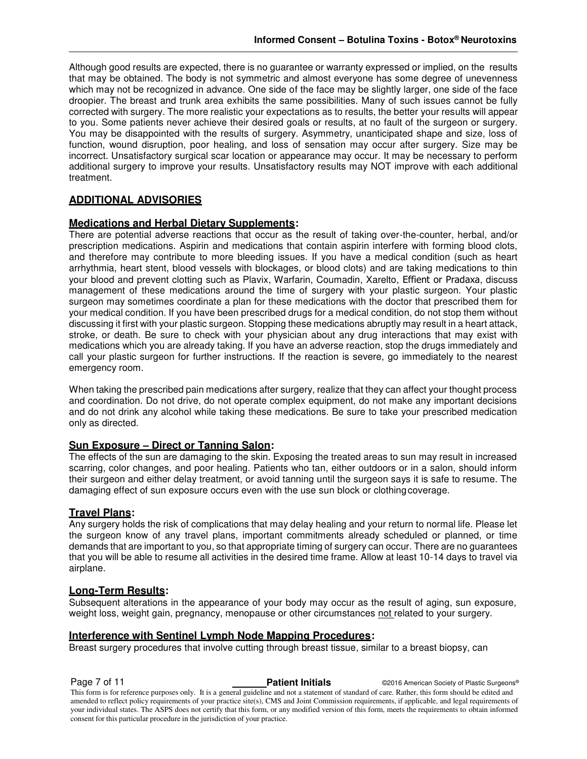Although good results are expected, there is no guarantee or warranty expressed or implied, on the results that may be obtained. The body is not symmetric and almost everyone has some degree of unevenness which may not be recognized in advance. One side of the face may be slightly larger, one side of the face droopier. The breast and trunk area exhibits the same possibilities. Many of such issues cannot be fully corrected with surgery. The more realistic your expectations as to results, the better your results will appear to you. Some patients never achieve their desired goals or results, at no fault of the surgeon or surgery. You may be disappointed with the results of surgery. Asymmetry, unanticipated shape and size, loss of function, wound disruption, poor healing, and loss of sensation may occur after surgery. Size may be incorrect. Unsatisfactory surgical scar location or appearance may occur. It may be necessary to perform additional surgery to improve your results. Unsatisfactory results may NOT improve with each additional treatment.

### **ADDITIONAL ADVISORIES**

#### **Medications and Herbal Dietary Supplements:**

There are potential adverse reactions that occur as the result of taking over-the-counter, herbal, and/or prescription medications. Aspirin and medications that contain aspirin interfere with forming blood clots, and therefore may contribute to more bleeding issues. If you have a medical condition (such as heart arrhythmia, heart stent, blood vessels with blockages, or blood clots) and are taking medications to thin your blood and prevent clotting such as Plavix, Warfarin, Coumadin, Xarelto, Effient or Pradaxa, discuss management of these medications around the time of surgery with your plastic surgeon. Your plastic surgeon may sometimes coordinate a plan for these medications with the doctor that prescribed them for your medical condition. If you have been prescribed drugs for a medical condition, do not stop them without discussing it first with your plastic surgeon. Stopping these medications abruptly may result in a heart attack, stroke, or death. Be sure to check with your physician about any drug interactions that may exist with medications which you are already taking. If you have an adverse reaction, stop the drugs immediately and call your plastic surgeon for further instructions. If the reaction is severe, go immediately to the nearest emergency room.

When taking the prescribed pain medications after surgery, realize that they can affect your thought process and coordination. Do not drive, do not operate complex equipment, do not make any important decisions and do not drink any alcohol while taking these medications. Be sure to take your prescribed medication only as directed.

#### **Sun Exposure – Direct or Tanning Salon:**

The effects of the sun are damaging to the skin. Exposing the treated areas to sun may result in increased scarring, color changes, and poor healing. Patients who tan, either outdoors or in a salon, should inform their surgeon and either delay treatment, or avoid tanning until the surgeon says it is safe to resume. The damaging effect of sun exposure occurs even with the use sun block or clothing coverage.

#### **Travel Plans:**

Any surgery holds the risk of complications that may delay healing and your return to normal life. Please let the surgeon know of any travel plans, important commitments already scheduled or planned, or time demands that are important to you, so that appropriate timing of surgery can occur. There are no guarantees that you will be able to resume all activities in the desired time frame. Allow at least 10-14 days to travel via airplane.

#### **Long-Term Results:**

Subsequent alterations in the appearance of your body may occur as the result of aging, sun exposure, weight loss, weight gain, pregnancy, menopause or other circumstances not related to your surgery.

#### **Interference with Sentinel Lymph Node Mapping Procedures:**

Breast surgery procedures that involve cutting through breast tissue, similar to a breast biopsy, can

**Page 7 of 11 Patient Initials Patient Initials CALC CONFIDENT CONFIDENT Patient Initials Patient Initials CONFIDENT Patient Initials Patient Initials** This form is for reference purposes only. It is a general guideline and not a statement of standard of care. Rather, this form should be edited and amended to reflect policy requirements of your practice site(s), CMS and Joint Commission requirements, if applicable, and legal requirements of your individual states. The ASPS does not certify that this form, or any modified version of this form, meets the requirements to obtain informed consent for this particular procedure in the jurisdiction of your practice.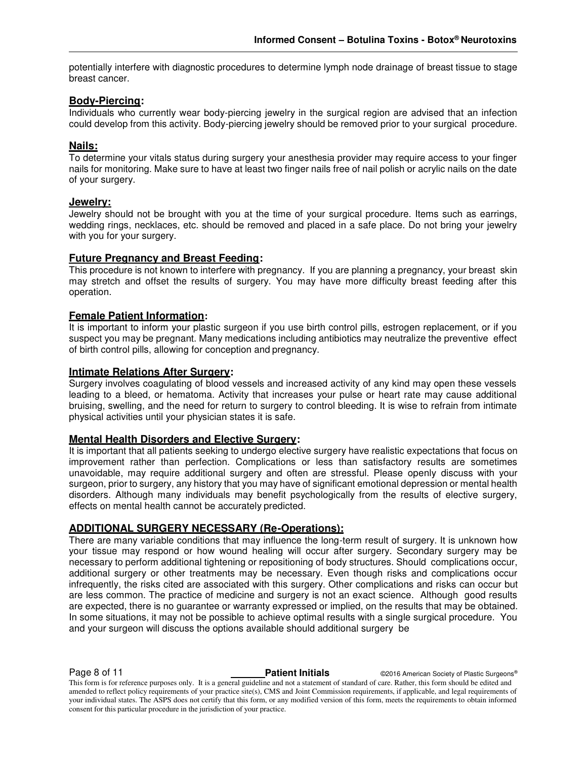potentially interfere with diagnostic procedures to determine lymph node drainage of breast tissue to stage breast cancer.

#### **Body-Piercing:**

Individuals who currently wear body-piercing jewelry in the surgical region are advised that an infection could develop from this activity. Body-piercing jewelry should be removed prior to your surgical procedure.

#### **Nails:**

To determine your vitals status during surgery your anesthesia provider may require access to your finger nails for monitoring. Make sure to have at least two finger nails free of nail polish or acrylic nails on the date of your surgery.

#### **Jewelry:**

Jewelry should not be brought with you at the time of your surgical procedure. Items such as earrings, wedding rings, necklaces, etc. should be removed and placed in a safe place. Do not bring your jewelry with you for your surgery.

#### **Future Pregnancy and Breast Feeding:**

This procedure is not known to interfere with pregnancy. If you are planning a pregnancy, your breast skin may stretch and offset the results of surgery. You may have more difficulty breast feeding after this operation.

#### **Female Patient Information:**

It is important to inform your plastic surgeon if you use birth control pills, estrogen replacement, or if you suspect you may be pregnant. Many medications including antibiotics may neutralize the preventive effect of birth control pills, allowing for conception and pregnancy.

#### **Intimate Relations After Surgery:**

Surgery involves coagulating of blood vessels and increased activity of any kind may open these vessels leading to a bleed, or hematoma. Activity that increases your pulse or heart rate may cause additional bruising, swelling, and the need for return to surgery to control bleeding. It is wise to refrain from intimate physical activities until your physician states it is safe.

#### **Mental Health Disorders and Elective Surgery:**

It is important that all patients seeking to undergo elective surgery have realistic expectations that focus on improvement rather than perfection. Complications or less than satisfactory results are sometimes unavoidable, may require additional surgery and often are stressful. Please openly discuss with your surgeon, prior to surgery, any history that you may have of significant emotional depression or mental health disorders. Although many individuals may benefit psychologically from the results of elective surgery, effects on mental health cannot be accurately predicted.

#### **ADDITIONAL SURGERY NECESSARY (Re-Operations):**

There are many variable conditions that may influence the long-term result of surgery. It is unknown how your tissue may respond or how wound healing will occur after surgery. Secondary surgery may be necessary to perform additional tightening or repositioning of body structures. Should complications occur, additional surgery or other treatments may be necessary. Even though risks and complications occur infrequently, the risks cited are associated with this surgery. Other complications and risks can occur but are less common. The practice of medicine and surgery is not an exact science. Although good results are expected, there is no guarantee or warranty expressed or implied, on the results that may be obtained. In some situations, it may not be possible to achieve optimal results with a single surgical procedure. You and your surgeon will discuss the options available should additional surgery be

**Page 8 of 11 Patient Initials CONFIDENT CONSUMINGLY Patient Initials C2016** American Society of Plastic Surgeons®

This form is for reference purposes only. It is a general guideline and not a statement of standard of care. Rather, this form should be edited and amended to reflect policy requirements of your practice site(s), CMS and Joint Commission requirements, if applicable, and legal requirements of your individual states. The ASPS does not certify that this form, or any modified version of this form, meets the requirements to obtain informed consent for this particular procedure in the jurisdiction of your practice.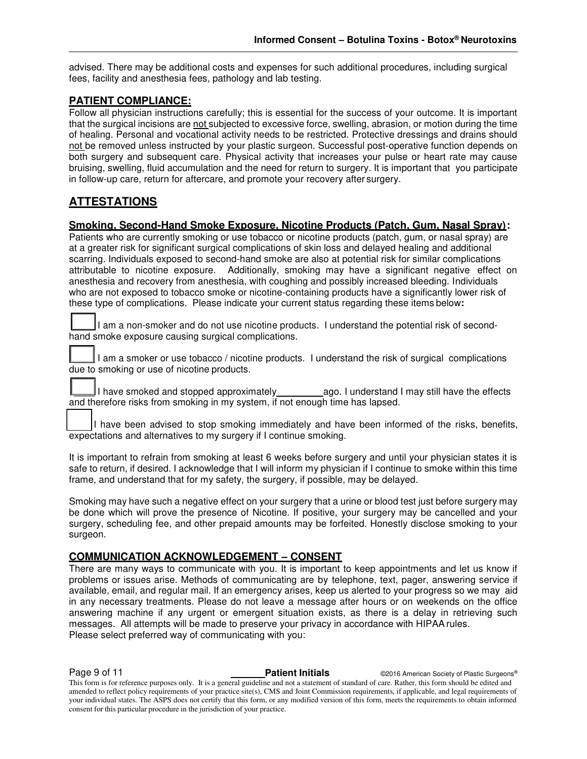advised. There may be additional costs and expenses for such additional procedures, including surgical fees, facility and anesthesia fees, pathology and lab testing.

#### **PATIENT COMPLIANCE:**

Follow all physician instructions carefully; this is essential for the success of your outcome. It is important that the surgical incisions are not subjected to excessive force, swelling, abrasion, or motion during the time of healing. Personal and vocational activity needs to be restricted. Protective dressings and drains should not be removed unless instructed by your plastic surgeon. Successful post-operative function depends on both surgery and subsequent care. Physical activity that increases your pulse or heart rate may cause bruising, swelling, fluid accumulation and the need for return to surgery. It is important that you participate in follow-up care, return for aftercare, and promote your recovery after surgery.

### **ATTESTATIONS**

#### **Smoking, Second-Hand Smoke Exposure, Nicotine Products (Patch, Gum, Nasal Spray):**

Patients who are currently smoking or use tobacco or nicotine products (patch, gum, or nasal spray) are at a greater risk for significant surgical complications of skin loss and delayed healing and additional scarring. Individuals exposed to second-hand smoke are also at potential risk for similar complications attributable to nicotine exposure. Additionally, smoking may have a significant negative effect on anesthesia and recovery from anesthesia, with coughing and possibly increased bleeding. Individuals who are not exposed to tobacco smoke or nicotine-containing products have a significantly lower risk of these type of complications. Please indicate your current status regarding these items below**:** 

I am a non-smoker and do not use nicotine products. I understand the potential risk of secondhand smoke exposure causing surgical complications.

I am a smoker or use tobacco / nicotine products. I understand the risk of surgical complications due to smoking or use of nicotine products.

I have smoked and stopped approximately ago. I understand I may still have the effects and therefore risks from smoking in my system, if not enough time has lapsed.

I have been advised to stop smoking immediately and have been informed of the risks, benefits, expectations and alternatives to my surgery if I continue smoking.

It is important to refrain from smoking at least 6 weeks before surgery and until your physician states it is safe to return, if desired. I acknowledge that I will inform my physician if I continue to smoke within this time frame, and understand that for my safety, the surgery, if possible, may be delayed.

Smoking may have such a negative effect on your surgery that a urine or blood test just before surgery may be done which will prove the presence of Nicotine. If positive, your surgery may be cancelled and your surgery, scheduling fee, and other prepaid amounts may be forfeited. Honestly disclose smoking to your surgeon.

#### **COMMUNICATION ACKNOWLEDGEMENT – CONSENT**

There are many ways to communicate with you. It is important to keep appointments and let us know if problems or issues arise. Methods of communicating are by telephone, text, pager, answering service if available, email, and regular mail. If an emergency arises, keep us alerted to your progress so we may aid in any necessary treatments. Please do not leave a message after hours or on weekends on the office answering machine if any urgent or emergent situation exists, as there is a delay in retrieving such messages. All attempts will be made to preserve your privacy in accordance with HIPAA rules. Please select preferred way of communicating with you:

**Page 9 of 11 Patient Initials CONFIDENT CONFIDENT CONFIDENT CONFIDENT** CONFIDENT CONFIDENT CONFIDENT CONFIDENT CONFIDENT CONFIDENT CONFIDENT CONFIDENT CONFIDENT CONFIDENT CONFIDENT CONFIDENTIAL CONFIDENT CONFIDENTIAL This form is for reference purposes only. It is a general guideline and not a statement of standard of care. Rather, this form should be edited and amended to reflect policy requirements of your practice site(s), CMS and Joint Commission requirements, if applicable, and legal requirements of your individual states. The ASPS does not certify that this form, or any modified version of this form, meets the requirements to obtain informed consent for this particular procedure in the jurisdiction of your practice.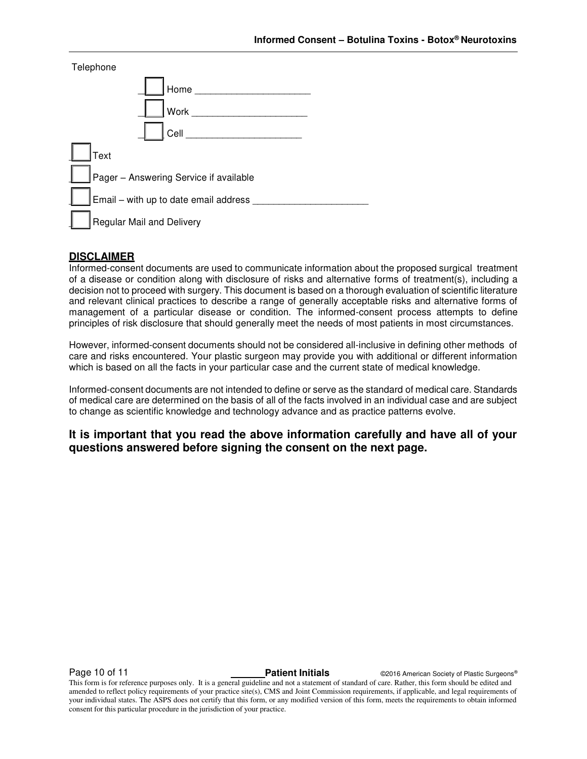| Telephone                              |  |
|----------------------------------------|--|
| Home                                   |  |
| Work                                   |  |
| Cell                                   |  |
| Text                                   |  |
| Pager - Answering Service if available |  |
| Email - with up to date email address  |  |
| <b>Regular Mail and Delivery</b>       |  |

#### **DISCLAIMER**

Informed-consent documents are used to communicate information about the proposed surgical treatment of a disease or condition along with disclosure of risks and alternative forms of treatment(s), including a decision not to proceed with surgery. This document is based on a thorough evaluation of scientific literature and relevant clinical practices to describe a range of generally acceptable risks and alternative forms of management of a particular disease or condition. The informed-consent process attempts to define principles of risk disclosure that should generally meet the needs of most patients in most circumstances.

However, informed-consent documents should not be considered all-inclusive in defining other methods of care and risks encountered. Your plastic surgeon may provide you with additional or different information which is based on all the facts in your particular case and the current state of medical knowledge.

Informed-consent documents are not intended to define or serve as the standard of medical care. Standards of medical care are determined on the basis of all of the facts involved in an individual case and are subject to change as scientific knowledge and technology advance and as practice patterns evolve.

**It is important that you read the above information carefully and have all of your questions answered before signing the consent on the next page.** 

**Page 10 of 11 Patient Initials Patient Initials C2016 American Society of Plastic Surgeons®** 

This form is for reference purposes only. It is a general guideline and not a statement of standard of care. Rather, this form should be edited and amended to reflect policy requirements of your practice site(s), CMS and Joint Commission requirements, if applicable, and legal requirements of your individual states. The ASPS does not certify that this form, or any modified version of this form, meets the requirements to obtain informed consent for this particular procedure in the jurisdiction of your practice.